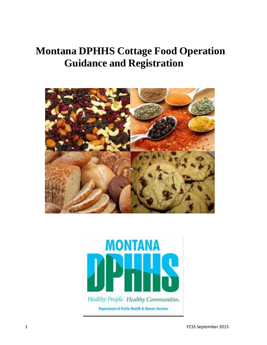# **Montana DPHHS Cottage Food Operation Guidance and Registration**



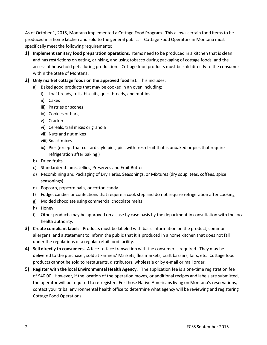As of October 1, 2015, Montana implemented a Cottage Food Program. This allows certain food items to be produced in a home kitchen and sold to the general public. Cottage Food Operators in Montana must specifically meet the following requirements:

- **1) Implement sanitary food preparation operations**. Items need to be produced in a kitchen that is clean and has restrictions on eating, drinking, and using tobacco during packaging of cottage foods, and the access of household pets during production. Cottage food products must be sold directly to the consumer within the State of Montana.
- **2) Only market cottage foods on the approved food list.** This includes:
	- a) Baked good products that may be cooked in an oven including:
		- i) Loaf breads, rolls, biscuits, quick breads, and muffins
		- ii) Cakes
		- iii) Pastries or scones
		- iv) Cookies or bars;
		- v) Crackers
		- vi) Cereals, trail mixes or granola
		- vii) Nuts and nut mixes
		- viii) Snack mixes
		- ix) Pies (except that custard style pies, pies with fresh fruit that is unbaked or pies that require refrigeration after baking )
	- b) Dried fruits
	- c) Standardized Jams, Jellies, Preserves and Fruit Butter
	- d) Recombining and Packaging of Dry Herbs, Seasonings, or Mixtures (dry soup, teas, coffees, spice seasonings)
	- e) Popcorn, popcorn balls, or cotton candy
	- f) Fudge, candies or confections that require a cook step and do not require refrigeration after cooking
	- g) Molded chocolate using commercial chocolate melts
	- h) Honey
	- i) Other products may be approved on a case by case basis by the department in consultation with the local health authority.
- **3) Create compliant labels.** Products must be labeled with basic information on the product, common allergens, and a statement to inform the public that it is produced in a home kitchen that does not fall under the regulations of a regular retail food facility.
- **4) Sell directly to consumers.** A face-to-face transaction with the consumer is required. They may be delivered to the purchaser, sold at Farmers' Markets, flea markets, craft bazaars, fairs, etc. Cottage food products cannot be sold to restaurants, distributors, wholesale or by e-mail or mail order.
- **5) Register with the local Environmental Health Agency.** The application fee is a one-time registration fee of \$40.00. However, if the location of the operation moves, or additional recipes and labels are submitted, the operator will be required to re-register. For those Native Americans living on Montana's reservations, contact your tribal environmental health office to determine what agency will be reviewing and registering Cottage Food Operations.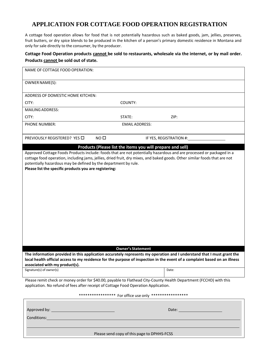### **APPLICATION FOR COTTAGE FOOD OPERATION REGISTRATION**

A cottage food operation allows for food that is not potentially hazardous such as baked goods, jam, jellies, preserves, fruit butters, or dry spice blends to be produced in the kitchen of a person's primary domestic residence in Montana and only for sale directly to the consumer, by the producer.

#### **Cottage Food Operation products cannot be sold to restaurants, wholesale via the internet, or by mail order. Products cannot be sold out of state.**

| NAME OF COTTAGE FOOD OPERATION:                                                                                                                                                                                                                                                                                                                                                                                                               |                          |                                                                                                                                                                                                                                |  |  |
|-----------------------------------------------------------------------------------------------------------------------------------------------------------------------------------------------------------------------------------------------------------------------------------------------------------------------------------------------------------------------------------------------------------------------------------------------|--------------------------|--------------------------------------------------------------------------------------------------------------------------------------------------------------------------------------------------------------------------------|--|--|
| OWNER NAME(S):                                                                                                                                                                                                                                                                                                                                                                                                                                |                          |                                                                                                                                                                                                                                |  |  |
|                                                                                                                                                                                                                                                                                                                                                                                                                                               |                          |                                                                                                                                                                                                                                |  |  |
| ADDRESS OF DOMESTIC HOME KITCHEN:                                                                                                                                                                                                                                                                                                                                                                                                             |                          |                                                                                                                                                                                                                                |  |  |
| CITY:                                                                                                                                                                                                                                                                                                                                                                                                                                         | COUNTY:                  |                                                                                                                                                                                                                                |  |  |
| <b>MAILING ADDRESS:</b>                                                                                                                                                                                                                                                                                                                                                                                                                       |                          |                                                                                                                                                                                                                                |  |  |
| CITY:                                                                                                                                                                                                                                                                                                                                                                                                                                         | STATE:                   | ZIP:                                                                                                                                                                                                                           |  |  |
| <b>PHONE NUMBER:</b><br><b>EMAIL ADDRESS:</b>                                                                                                                                                                                                                                                                                                                                                                                                 |                          |                                                                                                                                                                                                                                |  |  |
| NO <sub>0</sub><br>PREVIOUSLY REGISTERED? YES □                                                                                                                                                                                                                                                                                                                                                                                               |                          | IF YES, REGISTRATION #:                                                                                                                                                                                                        |  |  |
| Products (Please list the items you will prepare and sell)<br>Approved Cottage Foods Products include: foods that are not potentially hazardous and are processed or packaged in a<br>cottage food operation, including jams, jellies, dried fruit, dry mixes, and baked goods. Other similar foods that are not<br>potentially hazardous may be defined by the department by rule.<br>Please list the specific products you are registering: |                          |                                                                                                                                                                                                                                |  |  |
|                                                                                                                                                                                                                                                                                                                                                                                                                                               | <b>Owner's Statement</b> |                                                                                                                                                                                                                                |  |  |
| The information provided in this application accurately represents my operation and I understand that I must grant the<br>local health official access to my residence for the purpose of inspection in the event of a complaint based on an illness<br>associated with my product(s).                                                                                                                                                        |                          |                                                                                                                                                                                                                                |  |  |
| Signature(s) of owner(s)                                                                                                                                                                                                                                                                                                                                                                                                                      |                          | Date:                                                                                                                                                                                                                          |  |  |
| Please remit check or money order for \$40.00, payable to Flathead City-County Health Department (FCCHD) with this<br>application. No refund of fees after receipt of Cottage Food Operation Application.                                                                                                                                                                                                                                     |                          |                                                                                                                                                                                                                                |  |  |
| ***************** For office use only ******************                                                                                                                                                                                                                                                                                                                                                                                      |                          |                                                                                                                                                                                                                                |  |  |
| Conditions:                                                                                                                                                                                                                                                                                                                                                                                                                                   |                          | Date: the contract of the contract of the contract of the contract of the contract of the contract of the contract of the contract of the contract of the contract of the contract of the contract of the contract of the cont |  |  |
| Please send copy of this page to DPHHS-FCSS                                                                                                                                                                                                                                                                                                                                                                                                   |                          |                                                                                                                                                                                                                                |  |  |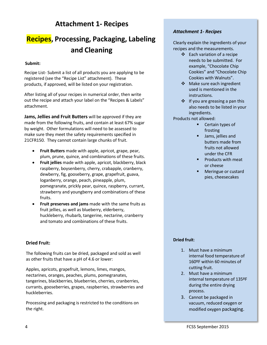### **Attachment 1- Recipes**

## **Recipes, Processing, Packaging, Labeling and Cleaning**

#### **Submit:**

Recipe List- Submit a list of all products you are applying to be registered (see the "Recipe List" attachment). These products, if approved, will be listed on your registration.

After listing all of your recipes in numerical order, then write out the recipe and attach your label on the "Recipes & Labels" attachment.

**Jams, Jellies and Fruit Butters** will be approved if they are made from the following fruits, and contain at least 67% sugar by weight. Other formulations will need to be assessed to make sure they meet the safety requirements specified in 21CFR150. They cannot contain large chunks of fruit.

- **Fruit Butters** made with apple, apricot, grape, pear, plum, prune, quince, and combinations of these fruits.
- **Fruit jellies** made with apple, apricot, blackberry, black raspberry, boysenberry, cherry, crabapple, cranberry, dewberry, fig, gooseberry, grape, grapefruit, guava, loganberry, orange, peach, pineapple, plum, pomegranate, prickly pear, quince, raspberry, currant, strawberry and youngberry and combinations of these fruits.
- **Fruit preserves and jams** made with the same fruits as fruit jellies, as well as blueberry, elderberry, huckleberry, rhubarb, tangerine, nectarine, cranberry and tomato and combinations of these fruits.

#### **Dried Fruit:**

The following fruits can be dried, packaged and sold as well as other fruits that have a pH of 4.6 or lower:

Apples, apricots, grapefruit, lemons, limes, mangos, nectarines, oranges, peaches, plums, pomegranates, tangerines, blackberries, blueberries, cherries, cranberries, currants, gooseberries, grapes, raspberries, strawberries and huckleberries.

Processing and packaging is restricted to the conditions on the right.

### *Attachment 1- Recipes*

Clearly explain the ingredients of your recipes and the measurements.

- $\div$  Each variation of a recipe needs to be submitted. For example, "Chocolate Chip Cookies" and "Chocolate Chip Cookies with Walnuts".
- ❖ Make sure each ingredient used is mentioned in the instructions.
- $\div$  If you are greasing a pan this also needs to be listed in your ingredients.

Products not allowed:

- **Certain types of** frosting
- **Jams**, jellies and butters made from fruits not allowed under the CFR
- $\blacksquare$  Products with meat or cheese
- **Meringue or custard** pies, cheesecakes

### **Dried fruit**:

- 1. Must have a minimum internal food temperature of 160ºF within 60 minutes of cutting fruit.
- 2. Must have a minimum internal temperature of 135ºF during the entire drying process.
- 3. Cannot be packaged in vacuum, reduced oxygen or modified oxygen packaging.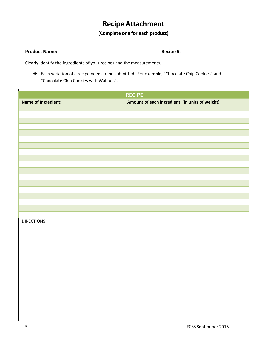### **Recipe Attachment**

### **(Complete one for each product)**

**Product Name: Recipe #:**

Clearly identify the ingredients of your recipes and the measurements.

 Each variation of a recipe needs to be submitted. For example, "Chocolate Chip Cookies" and "Chocolate Chip Cookies with Walnuts".

| <b>RECIPE</b>              |                                                |  |
|----------------------------|------------------------------------------------|--|
| <b>Name of Ingredient:</b> | Amount of each ingredient (in units of weight) |  |
|                            |                                                |  |
|                            |                                                |  |
|                            |                                                |  |
|                            |                                                |  |
|                            |                                                |  |
|                            |                                                |  |
|                            |                                                |  |
|                            |                                                |  |
|                            |                                                |  |
|                            |                                                |  |
|                            |                                                |  |
|                            |                                                |  |
| DIRECTIONS:                |                                                |  |
|                            |                                                |  |
|                            |                                                |  |
|                            |                                                |  |
|                            |                                                |  |
|                            |                                                |  |
|                            |                                                |  |
|                            |                                                |  |
|                            |                                                |  |
|                            |                                                |  |
|                            |                                                |  |
|                            |                                                |  |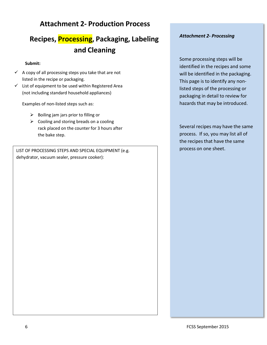### **Attachment 2- Production Process**

## **Recipes, Processing, Packaging, Labeling and Cleaning**

#### **Submit:**

- $\checkmark$  A copy of all processing steps you take that are not listed in the recipe or packaging.
- $\checkmark$  List of equipment to be used within Registered Area (not including standard household appliances)

Examples of non-listed steps such as:

- $\triangleright$  Boiling jam jars prior to filling or
- $\triangleright$  Cooling and storing breads on a cooling rack placed on the counter for 3 hours after the bake step.

LIST OF PROCESSING STEPS AND SPECIAL EQUIPMENT (e.g. dehydrator, vacuum sealer, pressure cooker):

### *Attachment 2- Processing*

Some processing steps will be identified in the recipes and some will be identified in the packaging. This page is to identify any nonlisted steps of the processing or packaging in detail to review for hazards that may be introduced.

Several recipes may have the same process. If so, you may list all of the recipes that have the same process on one sheet.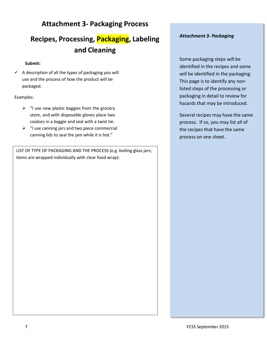### **Attachment 3- Packaging Process**

## **Recipes, Processing, Packaging, Labeling and Cleaning**

#### **Submit:**

 $\checkmark$  A description of all the types of packaging you will use and the process of how the product will be packaged.

#### Examples:

- $\triangleright$  "I use new plastic baggies from the grocery store, and with disposable gloves place two cookies in a baggie and seal with a twist tie.
- $\triangleright$  "I use canning jars and two piece commercial canning lids to seal the jam while it is hot."

LIST OF TYPE OF PACKAGING AND THE PROCESS (e.g. boiling glass jars; items are wrapped individually with clear food wrap):

### *Attachment 3- Packaging*

Some packaging steps will be identified in the recipes and some will be identified in the packaging. This page is to identify any nonlisted steps of the processing or packaging in detail to review for hazards that may be introduced.

Several recipes may have the same process. If so, you may list all of the recipes that have the same process on one sheet.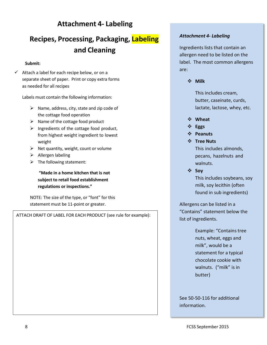### **Attachment 4- Labeling**

## **Recipes, Processing, Packaging, Labeling and Cleaning**

### **Submit:**

 $\checkmark$  Attach a label for each recipe below, or on a separate sheet of paper. Print or copy extra forms as needed for all recipes

Labels must contain the following information:

- $\triangleright$  Name, address, city, state and zip code of the cottage food operation
- $\triangleright$  Name of the cottage food product
- $\triangleright$  Ingredients of the cottage food product, from highest weight ingredient to lowest weight
- $\triangleright$  Net quantity, weight, count or volume
- $\triangleright$  Allergen labeling
- $\triangleright$  The following statement:

**"Made in a home kitchen that is not subject to retail food establishment regulations or inspections."**

NOTE: The size of the type, or "font" for this statement must be 11-point or greater.

ATTACH DRAFT OF LABEL FOR EACH PRODUCT (see rule for example):

### *Attachment 4- Labeling*

Ingredients lists that contain an allergen need to be listed on the label. The most common allergens are:

**Milk**

This includes cream, butter, caseinate, curds, lactate, lactose, whey, etc.

- **Wheat**
- **Eggs**
- **Peanuts**
- **Tree Nuts**

This includes almonds, pecans, hazelnuts and walnuts.

**Soy**

This includes soybeans, soy milk, soy lecithin (often found in sub ingredients)

Allergens can be listed in a "Contains" statement below the list of ingredients.

> Example: "Contains tree nuts, wheat, eggs and milk", would be a statement for a typical chocolate cookie with walnuts. ("milk" is in butter)

See 50-50-116 for additional information.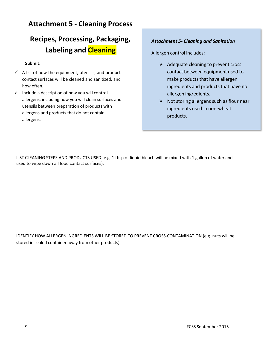### **Attachment 5 - Cleaning Process**

## **Recipes, Processing, Packaging, Labeling and Cleaning**

### **Submit:**

- $\checkmark$  A list of how the equipment, utensils, and product contact surfaces will be cleaned and sanitized, and how often.
- $\checkmark$  Include a description of how you will control allergens, including how you will clean surfaces and utensils between preparation of products with allergens and products that do not contain allergens.

### *Attachment 5- Cleaning and Sanitation*

Allergen control includes:

- $\triangleright$  Adequate cleaning to prevent cross contact between equipment used to make products that have allergen ingredients and products that have no allergen ingredients.
- $\triangleright$  Not storing allergens such as flour near ingredients used in non-wheat products.

LIST CLEANING STEPS AND PRODUCTS USED (e.g. 1 tbsp of liquid bleach will be mixed with 1 gallon of water and used to wipe down all food contact surfaces):

IDENTIFY HOW ALLERGEN INGREDIENTS WILL BE STORED TO PREVENT CROSS-CONTAMINATION (e.g. nuts will be stored in sealed container away from other products):